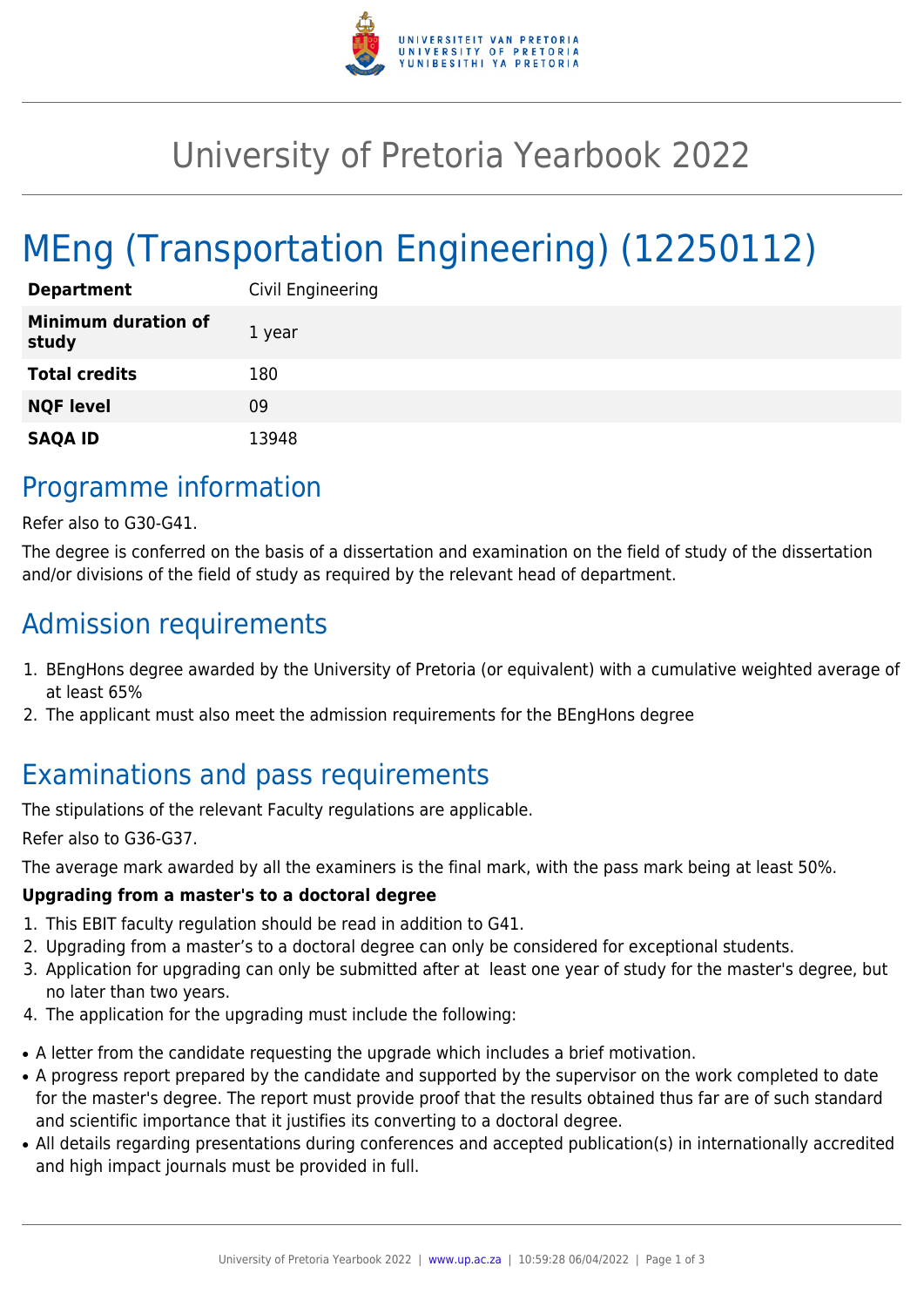

# University of Pretoria Yearbook 2022

# MEng (Transportation Engineering) (12250112)

| <b>Department</b>                   | Civil Engineering |
|-------------------------------------|-------------------|
| <b>Minimum duration of</b><br>study | 1 year            |
| <b>Total credits</b>                | 180               |
| <b>NQF level</b>                    | 09                |
| <b>SAQA ID</b>                      | 13948             |

# Programme information

Refer also to G30-G41.

The degree is conferred on the basis of a dissertation and examination on the field of study of the dissertation and/or divisions of the field of study as required by the relevant head of department.

## Admission requirements

- 1. BEngHons degree awarded by the University of Pretoria (or equivalent) with a cumulative weighted average of at least 65%
- 2. The applicant must also meet the admission requirements for the BEngHons degree

# Examinations and pass requirements

The stipulations of the relevant Faculty regulations are applicable.

Refer also to G36-G37.

The average mark awarded by all the examiners is the final mark, with the pass mark being at least 50%.

#### **Upgrading from a master's to a doctoral degree**

- 1. This EBIT faculty regulation should be read in addition to G41.
- 2. Upgrading from a master's to a doctoral degree can only be considered for exceptional students.
- 3. Application for upgrading can only be submitted after at least one year of study for the master's degree, but no later than two years.
- 4. The application for the upgrading must include the following:
- A letter from the candidate requesting the upgrade which includes a brief motivation.
- A progress report prepared by the candidate and supported by the supervisor on the work completed to date for the master's degree. The report must provide proof that the results obtained thus far are of such standard and scientific importance that it justifies its converting to a doctoral degree.
- All details regarding presentations during conferences and accepted publication(s) in internationally accredited and high impact journals must be provided in full.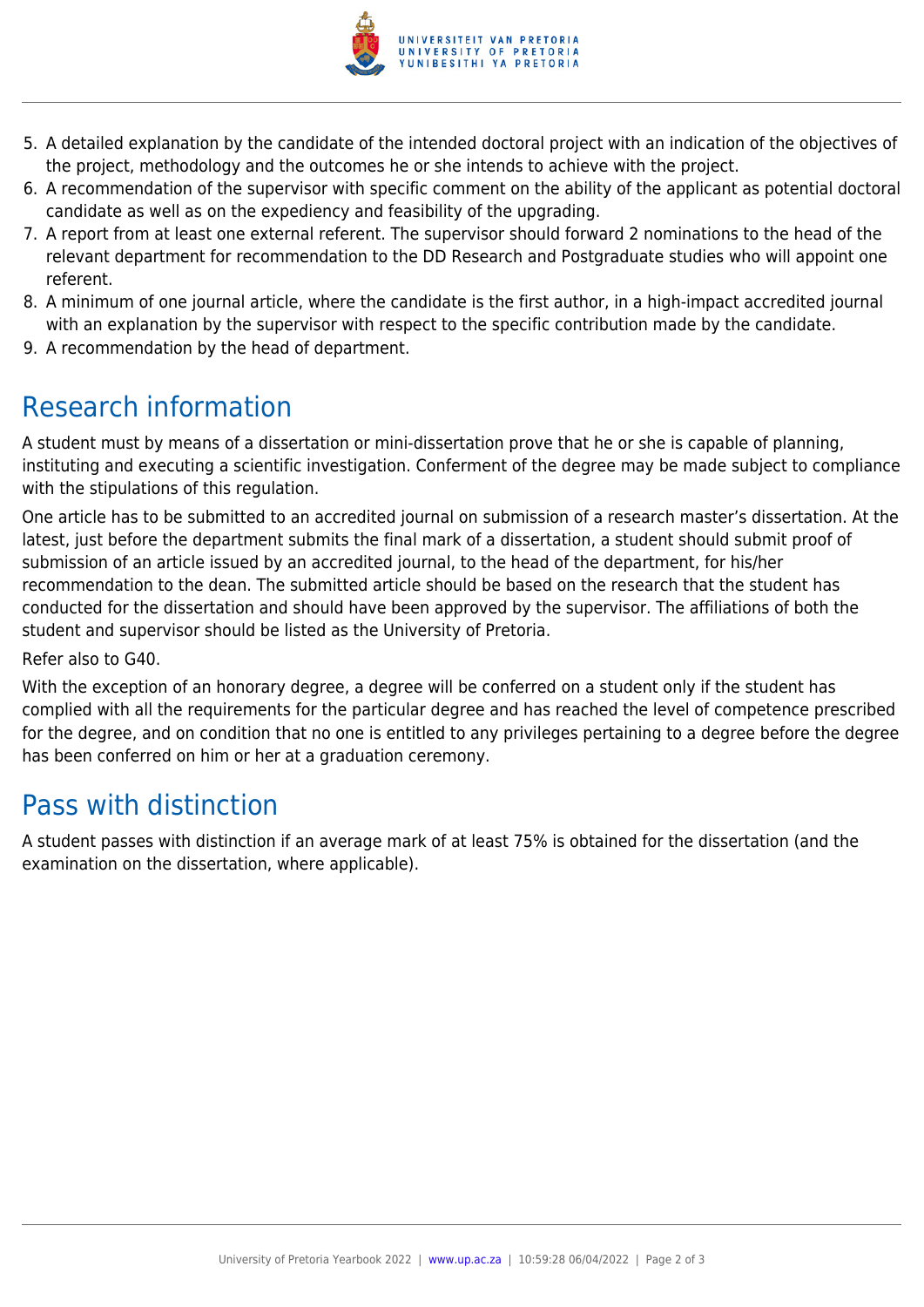

- 5. A detailed explanation by the candidate of the intended doctoral project with an indication of the objectives of the project, methodology and the outcomes he or she intends to achieve with the project.
- 6. A recommendation of the supervisor with specific comment on the ability of the applicant as potential doctoral candidate as well as on the expediency and feasibility of the upgrading.
- 7. A report from at least one external referent. The supervisor should forward 2 nominations to the head of the relevant department for recommendation to the DD Research and Postgraduate studies who will appoint one referent.
- 8. A minimum of one journal article, where the candidate is the first author, in a high-impact accredited journal with an explanation by the supervisor with respect to the specific contribution made by the candidate.
- 9. A recommendation by the head of department.

# Research information

A student must by means of a dissertation or mini-dissertation prove that he or she is capable of planning, instituting and executing a scientific investigation. Conferment of the degree may be made subject to compliance with the stipulations of this regulation.

One article has to be submitted to an accredited journal on submission of a research master's dissertation. At the latest, just before the department submits the final mark of a dissertation, a student should submit proof of submission of an article issued by an accredited journal, to the head of the department, for his/her recommendation to the dean. The submitted article should be based on the research that the student has conducted for the dissertation and should have been approved by the supervisor. The affiliations of both the student and supervisor should be listed as the University of Pretoria.

Refer also to G40.

With the exception of an honorary degree, a degree will be conferred on a student only if the student has complied with all the requirements for the particular degree and has reached the level of competence prescribed for the degree, and on condition that no one is entitled to any privileges pertaining to a degree before the degree has been conferred on him or her at a graduation ceremony.

# Pass with distinction

A student passes with distinction if an average mark of at least 75% is obtained for the dissertation (and the examination on the dissertation, where applicable).